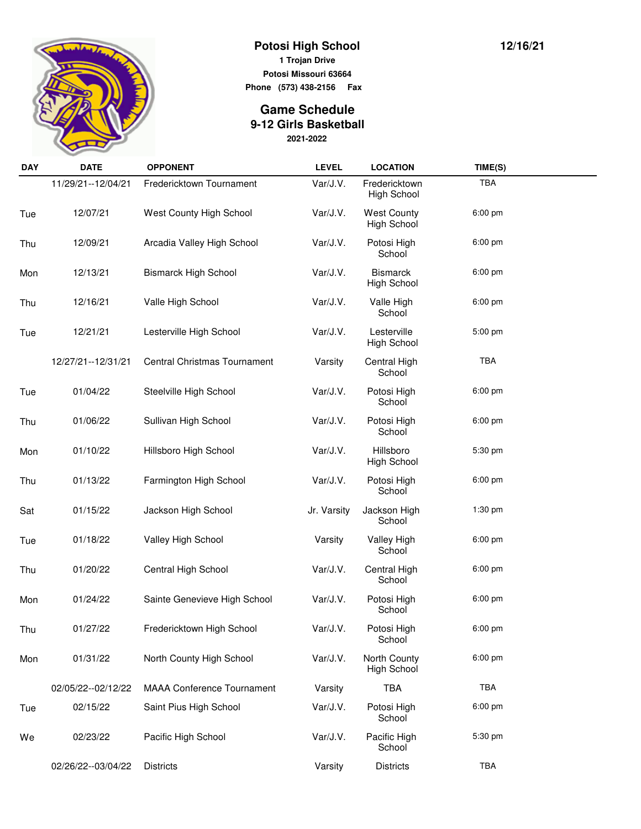

**Potosi High School 1 Trojan Drive Potosi Missouri 63664**

**Phone (573) 438-2156 Fax** 

## **2021-2022 Game Schedule 9-12 Girls Basketball**

| <b>DAY</b> | <b>DATE</b>          | <b>OPPONENT</b>                     | <b>LEVEL</b> | <b>LOCATION</b>                          | TIME(S)   |  |
|------------|----------------------|-------------------------------------|--------------|------------------------------------------|-----------|--|
|            | 11/29/21--12/04/21   | Fredericktown Tournament            | Var/J.V.     | Fredericktown<br>High School             | TBA       |  |
| Tue        | 12/07/21             | West County High School             | Var/J.V.     | <b>West County</b><br><b>High School</b> | 6:00 pm   |  |
| Thu        | 12/09/21             | Arcadia Valley High School          | Var/J.V.     | Potosi High<br>School                    | 6:00 pm   |  |
| Mon        | 12/13/21             | <b>Bismarck High School</b>         | Var/J.V.     | <b>Bismarck</b><br><b>High School</b>    | 6:00 pm   |  |
| Thu        | 12/16/21             | Valle High School                   | Var/J.V.     | Valle High<br>School                     | 6:00 pm   |  |
| Tue        | 12/21/21             | Lesterville High School             | Var/J.V.     | Lesterville<br><b>High School</b>        | 5:00 pm   |  |
|            | 12/27/21--12/31/21   | <b>Central Christmas Tournament</b> | Varsity      | Central High<br>School                   | TBA       |  |
| Tue        | 01/04/22             | Steelville High School              | Var/J.V.     | Potosi High<br>School                    | $6:00$ pm |  |
| Thu        | 01/06/22             | Sullivan High School                | Var/J.V.     | Potosi High<br>School                    | 6:00 pm   |  |
| Mon        | 01/10/22             | Hillsboro High School               | Var/J.V.     | Hillsboro<br><b>High School</b>          | 5:30 pm   |  |
| Thu        | 01/13/22             | Farmington High School              | Var/J.V.     | Potosi High<br>School                    | 6:00 pm   |  |
| Sat        | 01/15/22             | Jackson High School                 | Jr. Varsity  | Jackson High<br>School                   | $1:30$ pm |  |
| Tue        | 01/18/22             | Valley High School                  | Varsity      | <b>Valley High</b><br>School             | 6:00 pm   |  |
| Thu        | 01/20/22             | Central High School                 | Var/J.V.     | Central High<br>School                   | 6:00 pm   |  |
| Mon        | 01/24/22             | Sainte Genevieve High School        | Var/J.V.     | Potosi High<br>School                    | 6:00 pm   |  |
| Thu        | 01/27/22             | Fredericktown High School           | Var/J.V.     | Potosi High<br>School                    | 6:00 pm   |  |
| Mon        | 01/31/22             | North County High School            | Var/J.V.     | North County<br><b>High School</b>       | 6:00 pm   |  |
|            | 02/05/22 -- 02/12/22 | <b>MAAA Conference Tournament</b>   | Varsity      | <b>TBA</b>                               | TBA       |  |
| Tue        | 02/15/22             | Saint Pius High School              | Var/J.V.     | Potosi High<br>School                    | 6:00 pm   |  |
| We         | 02/23/22             | Pacific High School                 | Var/J.V.     | Pacific High<br>School                   | 5:30 pm   |  |
|            | 02/26/22--03/04/22   | <b>Districts</b>                    | Varsity      | <b>Districts</b>                         | TBA       |  |